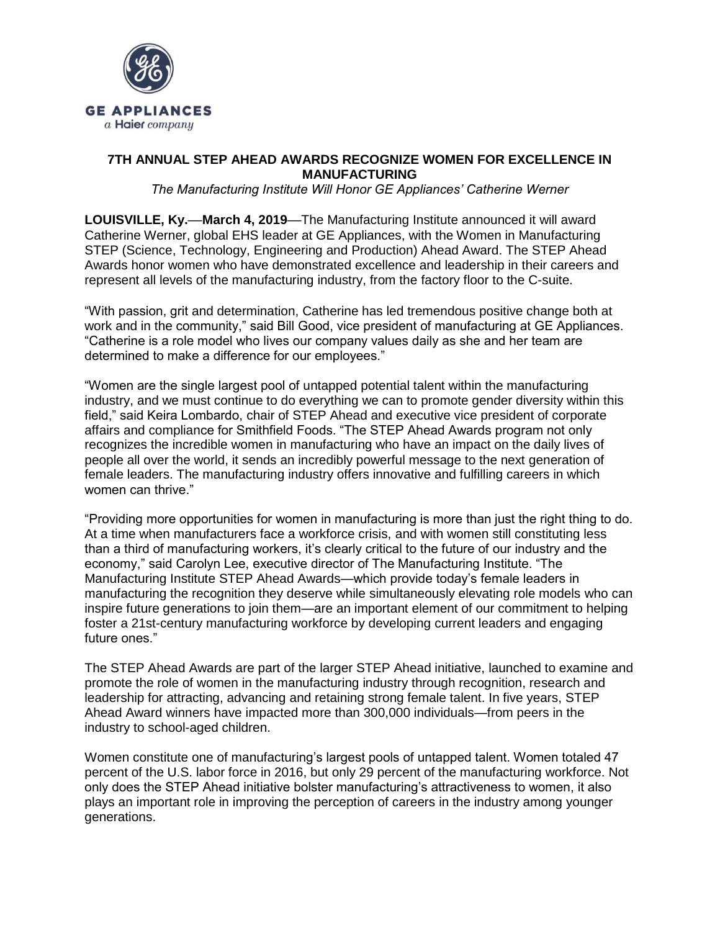

## **7TH ANNUAL STEP AHEAD AWARDS RECOGNIZE WOMEN FOR EXCELLENCE IN MANUFACTURING**

*The Manufacturing Institute Will Honor GE Appliances' Catherine Werner*

**LOUISVILLE, Ky.—March 4, 2019—**The Manufacturing Institute announced it will award Catherine Werner, global EHS leader at GE Appliances, with the Women in Manufacturing STEP (Science, Technology, Engineering and Production) Ahead Award. The STEP Ahead Awards honor women who have demonstrated excellence and leadership in their careers and represent all levels of the manufacturing industry, from the factory floor to the C-suite.

"With passion, grit and determination, Catherine has led tremendous positive change both at work and in the community," said Bill Good, vice president of manufacturing at GE Appliances. "Catherine is a role model who lives our company values daily as she and her team are determined to make a difference for our employees."

"Women are the single largest pool of untapped potential talent within the manufacturing industry, and we must continue to do everything we can to promote gender diversity within this field," said Keira Lombardo, chair of STEP Ahead and executive vice president of corporate affairs and compliance for Smithfield Foods. "The STEP Ahead Awards program not only recognizes the incredible women in manufacturing who have an impact on the daily lives of people all over the world, it sends an incredibly powerful message to the next generation of female leaders. The manufacturing industry offers innovative and fulfilling careers in which women can thrive."

"Providing more opportunities for women in manufacturing is more than just the right thing to do. At a time when manufacturers face a workforce crisis, and with women still constituting less than a third of manufacturing workers, it's clearly critical to the future of our industry and the economy," said Carolyn Lee, executive director of The Manufacturing Institute. "The Manufacturing Institute STEP Ahead Awards—which provide today's female leaders in manufacturing the recognition they deserve while simultaneously elevating role models who can inspire future generations to join them—are an important element of our commitment to helping foster a 21st-century manufacturing workforce by developing current leaders and engaging future ones."

The STEP Ahead Awards are part of the larger STEP Ahead initiative, launched to examine and promote the role of women in the manufacturing industry through recognition, research and leadership for attracting, advancing and retaining strong female talent. In five years, STEP Ahead Award winners have impacted more than 300,000 individuals—from peers in the industry to school-aged children.

Women constitute one of manufacturing's largest pools of untapped talent. Women totaled 47 percent of the U.S. labor force in 2016, but only 29 percent of the manufacturing workforce. Not only does the STEP Ahead initiative bolster manufacturing's attractiveness to women, it also plays an important role in improving the perception of careers in the industry among younger generations.